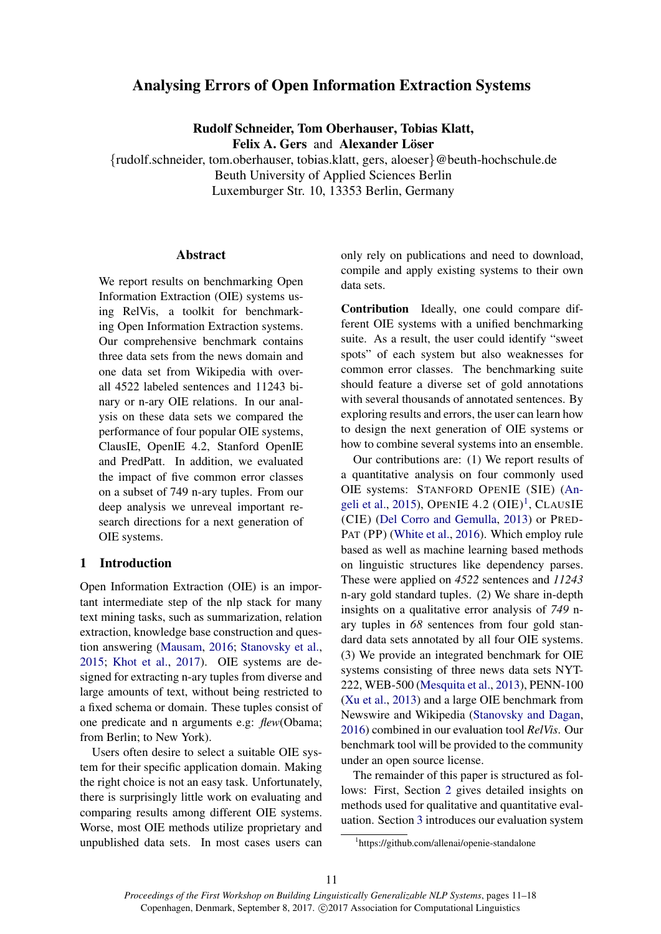# Analysing Errors of Open Information Extraction Systems

Rudolf Schneider, Tom Oberhauser, Tobias Klatt,

Felix A. Gers and Alexander Löser

{rudolf.schneider, tom.oberhauser, tobias.klatt, gers, aloeser}@beuth-hochschule.de Beuth University of Applied Sciences Berlin Luxemburger Str. 10, 13353 Berlin, Germany

## Abstract

We report results on benchmarking Open Information Extraction (OIE) systems using RelVis, a toolkit for benchmarking Open Information Extraction systems. Our comprehensive benchmark contains three data sets from the news domain and one data set from Wikipedia with overall 4522 labeled sentences and 11243 binary or n-ary OIE relations. In our analysis on these data sets we compared the performance of four popular OIE systems, ClausIE, OpenIE 4.2, Stanford OpenIE and PredPatt. In addition, we evaluated the impact of five common error classes on a subset of 749 n-ary tuples. From our deep analysis we unreveal important research directions for a next generation of OIE systems.

# 1 Introduction

Open Information Extraction (OIE) is an important intermediate step of the nlp stack for many text mining tasks, such as summarization, relation extraction, knowledge base construction and question answering (Mausam, 2016; Stanovsky et al., 2015; Khot et al., 2017). OIE systems are designed for extracting n-ary tuples from diverse and large amounts of text, without being restricted to a fixed schema or domain. These tuples consist of one predicate and n arguments e.g: *flew*(Obama; from Berlin; to New York).

Users often desire to select a suitable OIE system for their specific application domain. Making the right choice is not an easy task. Unfortunately, there is surprisingly little work on evaluating and comparing results among different OIE systems. Worse, most OIE methods utilize proprietary and unpublished data sets. In most cases users can

only rely on publications and need to download, compile and apply existing systems to their own data sets.

Contribution Ideally, one could compare different OIE systems with a unified benchmarking suite. As a result, the user could identify "sweet spots" of each system but also weaknesses for common error classes. The benchmarking suite should feature a diverse set of gold annotations with several thousands of annotated sentences. By exploring results and errors, the user can learn how to design the next generation of OIE systems or how to combine several systems into an ensemble.

Our contributions are: (1) We report results of a quantitative analysis on four commonly used OIE systems: STANFORD OPENIE (SIE) (Angeli et al., 2015), OPENIE 4.2  $(OIE)^1$ , CLAUSIE (CIE) (Del Corro and Gemulla, 2013) or PRED-PAT (PP) (White et al., 2016). Which employ rule based as well as machine learning based methods on linguistic structures like dependency parses. These were applied on *4522* sentences and *11243* n-ary gold standard tuples. (2) We share in-depth insights on a qualitative error analysis of *749* nary tuples in *68* sentences from four gold standard data sets annotated by all four OIE systems. (3) We provide an integrated benchmark for OIE systems consisting of three news data sets NYT-222, WEB-500 (Mesquita et al., 2013), PENN-100 (Xu et al., 2013) and a large OIE benchmark from Newswire and Wikipedia (Stanovsky and Dagan, 2016) combined in our evaluation tool *RelVis*. Our benchmark tool will be provided to the community under an open source license.

The remainder of this paper is structured as follows: First, Section 2 gives detailed insights on methods used for qualitative and quantitative evaluation. Section 3 introduces our evaluation system

<sup>1</sup> https://github.com/allenai/openie-standalone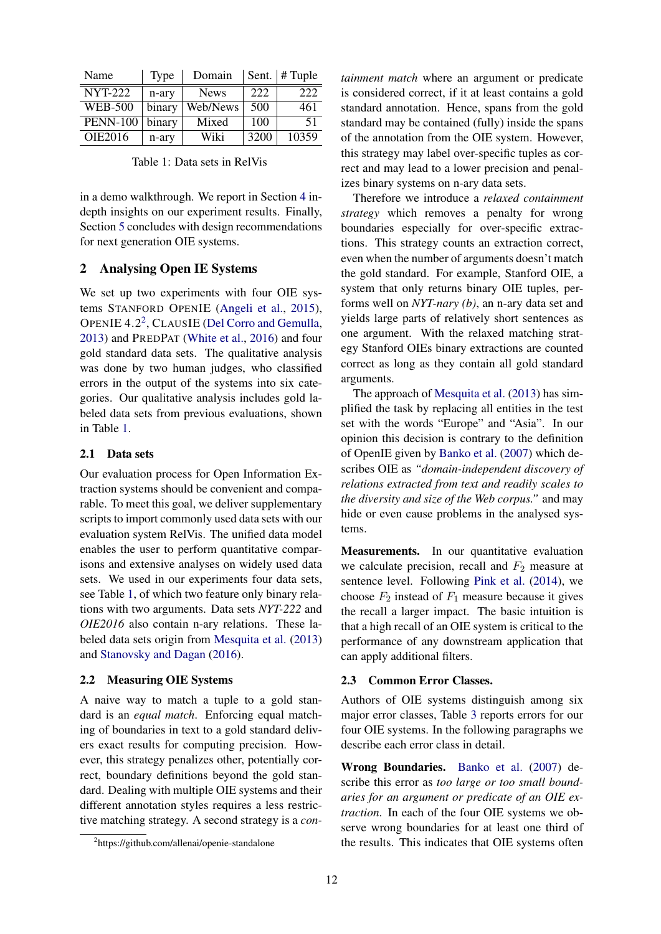| Name            | <b>Type</b> | Domain      | Sent. | $\parallel$ # Tuple |
|-----------------|-------------|-------------|-------|---------------------|
| <b>NYT-222</b>  | n-ary       | <b>News</b> | 222   | 222                 |
| <b>WEB-500</b>  | binary      | Web/News    | 500   | 461                 |
| <b>PENN-100</b> | binary      | Mixed       | 100   | 51                  |
| OIE2016         | n-ary       | Wiki        | 3200  | 10359               |

in a demo walkthrough. We report in Section 4 indepth insights on our experiment results. Finally, Section 5 concludes with design recommendations for next generation OIE systems.

#### 2 Analysing Open IE Systems

We set up two experiments with four OIE systems STANFORD OPENIE (Angeli et al., 2015), OPENIE 4.2<sup>2</sup>, CLAUSIE (Del Corro and Gemulla, 2013) and PREDPAT (White et al., 2016) and four gold standard data sets. The qualitative analysis was done by two human judges, who classified errors in the output of the systems into six categories. Our qualitative analysis includes gold labeled data sets from previous evaluations, shown in Table 1.

### 2.1 Data sets

Our evaluation process for Open Information Extraction systems should be convenient and comparable. To meet this goal, we deliver supplementary scripts to import commonly used data sets with our evaluation system RelVis. The unified data model enables the user to perform quantitative comparisons and extensive analyses on widely used data sets. We used in our experiments four data sets, see Table 1, of which two feature only binary relations with two arguments. Data sets *NYT-222* and *OIE2016* also contain n-ary relations. These labeled data sets origin from Mesquita et al. (2013) and Stanovsky and Dagan (2016).

#### 2.2 Measuring OIE Systems

A naive way to match a tuple to a gold standard is an *equal match*. Enforcing equal matching of boundaries in text to a gold standard delivers exact results for computing precision. However, this strategy penalizes other, potentially correct, boundary definitions beyond the gold standard. Dealing with multiple OIE systems and their different annotation styles requires a less restrictive matching strategy. A second strategy is a *con-* *tainment match* where an argument or predicate is considered correct, if it at least contains a gold standard annotation. Hence, spans from the gold standard may be contained (fully) inside the spans of the annotation from the OIE system. However, this strategy may label over-specific tuples as correct and may lead to a lower precision and penalizes binary systems on n-ary data sets.

Therefore we introduce a *relaxed containment strategy* which removes a penalty for wrong boundaries especially for over-specific extractions. This strategy counts an extraction correct, even when the number of arguments doesn't match the gold standard. For example, Stanford OIE, a system that only returns binary OIE tuples, performs well on *NYT-nary (b)*, an n-ary data set and yields large parts of relatively short sentences as one argument. With the relaxed matching strategy Stanford OIEs binary extractions are counted correct as long as they contain all gold standard arguments.

The approach of Mesquita et al. (2013) has simplified the task by replacing all entities in the test set with the words "Europe" and "Asia". In our opinion this decision is contrary to the definition of OpenIE given by Banko et al. (2007) which describes OIE as *"domain-independent discovery of relations extracted from text and readily scales to the diversity and size of the Web corpus."* and may hide or even cause problems in the analysed systems.

Measurements. In our quantitative evaluation we calculate precision, recall and  $F_2$  measure at sentence level. Following Pink et al. (2014), we choose  $F_2$  instead of  $F_1$  measure because it gives the recall a larger impact. The basic intuition is that a high recall of an OIE system is critical to the performance of any downstream application that can apply additional filters.

#### 2.3 Common Error Classes.

Authors of OIE systems distinguish among six major error classes, Table 3 reports errors for our four OIE systems. In the following paragraphs we describe each error class in detail.

Wrong Boundaries. Banko et al. (2007) describe this error as *too large or too small boundaries for an argument or predicate of an OIE extraction*. In each of the four OIE systems we observe wrong boundaries for at least one third of the results. This indicates that OIE systems often

<sup>2</sup> https://github.com/allenai/openie-standalone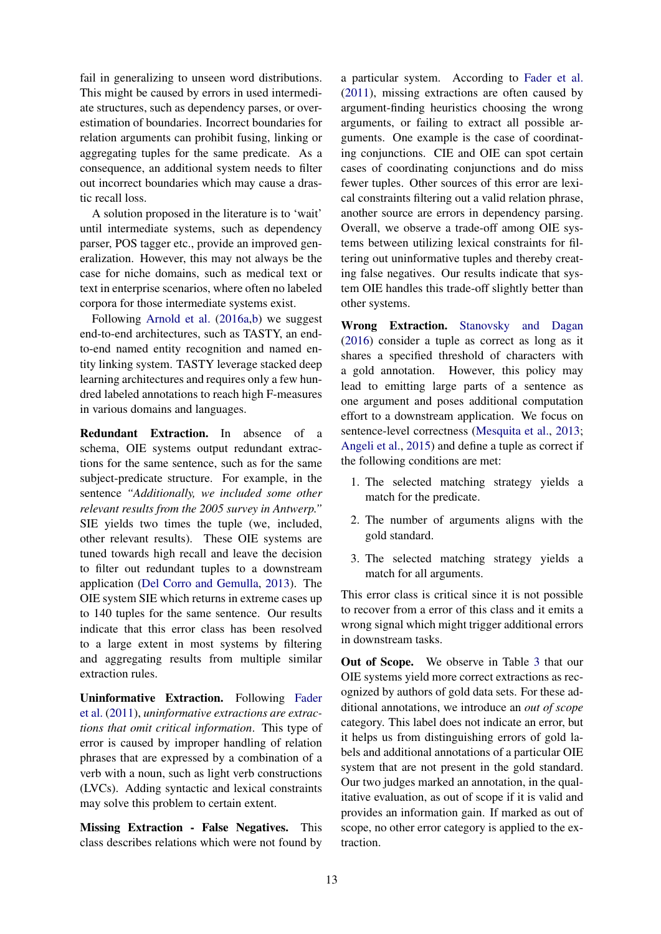fail in generalizing to unseen word distributions. This might be caused by errors in used intermediate structures, such as dependency parses, or overestimation of boundaries. Incorrect boundaries for relation arguments can prohibit fusing, linking or aggregating tuples for the same predicate. As a consequence, an additional system needs to filter out incorrect boundaries which may cause a drastic recall loss.

A solution proposed in the literature is to 'wait' until intermediate systems, such as dependency parser, POS tagger etc., provide an improved generalization. However, this may not always be the case for niche domains, such as medical text or text in enterprise scenarios, where often no labeled corpora for those intermediate systems exist.

Following Arnold et al. (2016a,b) we suggest end-to-end architectures, such as TASTY, an endto-end named entity recognition and named entity linking system. TASTY leverage stacked deep learning architectures and requires only a few hundred labeled annotations to reach high F-measures in various domains and languages.

Redundant Extraction. In absence of a schema, OIE systems output redundant extractions for the same sentence, such as for the same subject-predicate structure. For example, in the sentence *"Additionally, we included some other relevant results from the 2005 survey in Antwerp."* SIE yields two times the tuple (we, included, other relevant results). These OIE systems are tuned towards high recall and leave the decision to filter out redundant tuples to a downstream application (Del Corro and Gemulla, 2013). The OIE system SIE which returns in extreme cases up to 140 tuples for the same sentence. Our results indicate that this error class has been resolved to a large extent in most systems by filtering and aggregating results from multiple similar extraction rules.

Uninformative Extraction. Following Fader et al. (2011), *uninformative extractions are extractions that omit critical information*. This type of error is caused by improper handling of relation phrases that are expressed by a combination of a verb with a noun, such as light verb constructions (LVCs). Adding syntactic and lexical constraints may solve this problem to certain extent.

Missing Extraction - False Negatives. This class describes relations which were not found by

a particular system. According to Fader et al. (2011), missing extractions are often caused by argument-finding heuristics choosing the wrong arguments, or failing to extract all possible arguments. One example is the case of coordinating conjunctions. CIE and OIE can spot certain cases of coordinating conjunctions and do miss fewer tuples. Other sources of this error are lexical constraints filtering out a valid relation phrase, another source are errors in dependency parsing. Overall, we observe a trade-off among OIE systems between utilizing lexical constraints for filtering out uninformative tuples and thereby creating false negatives. Our results indicate that system OIE handles this trade-off slightly better than other systems.

Wrong Extraction. Stanovsky and Dagan (2016) consider a tuple as correct as long as it shares a specified threshold of characters with a gold annotation. However, this policy may lead to emitting large parts of a sentence as one argument and poses additional computation effort to a downstream application. We focus on sentence-level correctness (Mesquita et al., 2013; Angeli et al., 2015) and define a tuple as correct if the following conditions are met:

- 1. The selected matching strategy yields a match for the predicate.
- 2. The number of arguments aligns with the gold standard.
- 3. The selected matching strategy yields a match for all arguments.

This error class is critical since it is not possible to recover from a error of this class and it emits a wrong signal which might trigger additional errors in downstream tasks.

Out of Scope. We observe in Table 3 that our OIE systems yield more correct extractions as recognized by authors of gold data sets. For these additional annotations, we introduce an *out of scope* category. This label does not indicate an error, but it helps us from distinguishing errors of gold labels and additional annotations of a particular OIE system that are not present in the gold standard. Our two judges marked an annotation, in the qualitative evaluation, as out of scope if it is valid and provides an information gain. If marked as out of scope, no other error category is applied to the extraction.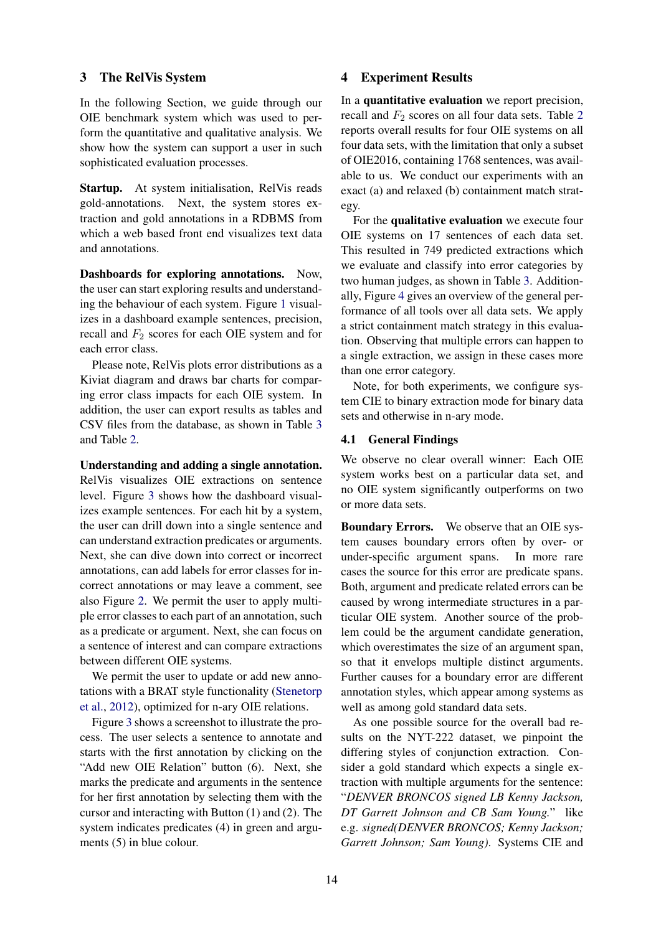### 3 The RelVis System

In the following Section, we guide through our OIE benchmark system which was used to perform the quantitative and qualitative analysis. We show how the system can support a user in such sophisticated evaluation processes.

Startup. At system initialisation, RelVis reads gold-annotations. Next, the system stores extraction and gold annotations in a RDBMS from which a web based front end visualizes text data and annotations.

Dashboards for exploring annotations. Now, the user can start exploring results and understanding the behaviour of each system. Figure 1 visualizes in a dashboard example sentences, precision, recall and  $F_2$  scores for each OIE system and for each error class.

Please note, RelVis plots error distributions as a Kiviat diagram and draws bar charts for comparing error class impacts for each OIE system. In addition, the user can export results as tables and CSV files from the database, as shown in Table 3 and Table 2.

Understanding and adding a single annotation. RelVis visualizes OIE extractions on sentence level. Figure 3 shows how the dashboard visualizes example sentences. For each hit by a system, the user can drill down into a single sentence and can understand extraction predicates or arguments. Next, she can dive down into correct or incorrect annotations, can add labels for error classes for incorrect annotations or may leave a comment, see also Figure 2. We permit the user to apply multiple error classes to each part of an annotation, such as a predicate or argument. Next, she can focus on a sentence of interest and can compare extractions between different OIE systems.

We permit the user to update or add new annotations with a BRAT style functionality (Stenetorp et al., 2012), optimized for n-ary OIE relations.

Figure 3 shows a screenshot to illustrate the process. The user selects a sentence to annotate and starts with the first annotation by clicking on the "Add new OIE Relation" button (6). Next, she marks the predicate and arguments in the sentence for her first annotation by selecting them with the cursor and interacting with Button (1) and (2). The system indicates predicates (4) in green and arguments (5) in blue colour.

### 4 Experiment Results

In a quantitative evaluation we report precision, recall and  $F_2$  scores on all four data sets. Table 2 reports overall results for four OIE systems on all four data sets, with the limitation that only a subset of OIE2016, containing 1768 sentences, was available to us. We conduct our experiments with an exact (a) and relaxed (b) containment match strategy.

For the qualitative evaluation we execute four OIE systems on 17 sentences of each data set. This resulted in 749 predicted extractions which we evaluate and classify into error categories by two human judges, as shown in Table 3. Additionally, Figure 4 gives an overview of the general performance of all tools over all data sets. We apply a strict containment match strategy in this evaluation. Observing that multiple errors can happen to a single extraction, we assign in these cases more than one error category.

Note, for both experiments, we configure system CIE to binary extraction mode for binary data sets and otherwise in n-ary mode.

### 4.1 General Findings

We observe no clear overall winner: Each OIE system works best on a particular data set, and no OIE system significantly outperforms on two or more data sets.

Boundary Errors. We observe that an OIE system causes boundary errors often by over- or under-specific argument spans. In more rare cases the source for this error are predicate spans. Both, argument and predicate related errors can be caused by wrong intermediate structures in a particular OIE system. Another source of the problem could be the argument candidate generation, which overestimates the size of an argument span, so that it envelops multiple distinct arguments. Further causes for a boundary error are different annotation styles, which appear among systems as well as among gold standard data sets.

As one possible source for the overall bad results on the NYT-222 dataset, we pinpoint the differing styles of conjunction extraction. Consider a gold standard which expects a single extraction with multiple arguments for the sentence: "*DENVER BRONCOS signed LB Kenny Jackson, DT Garrett Johnson and CB Sam Young.*" like e.g. *signed(DENVER BRONCOS; Kenny Jackson; Garrett Johnson; Sam Young)*. Systems CIE and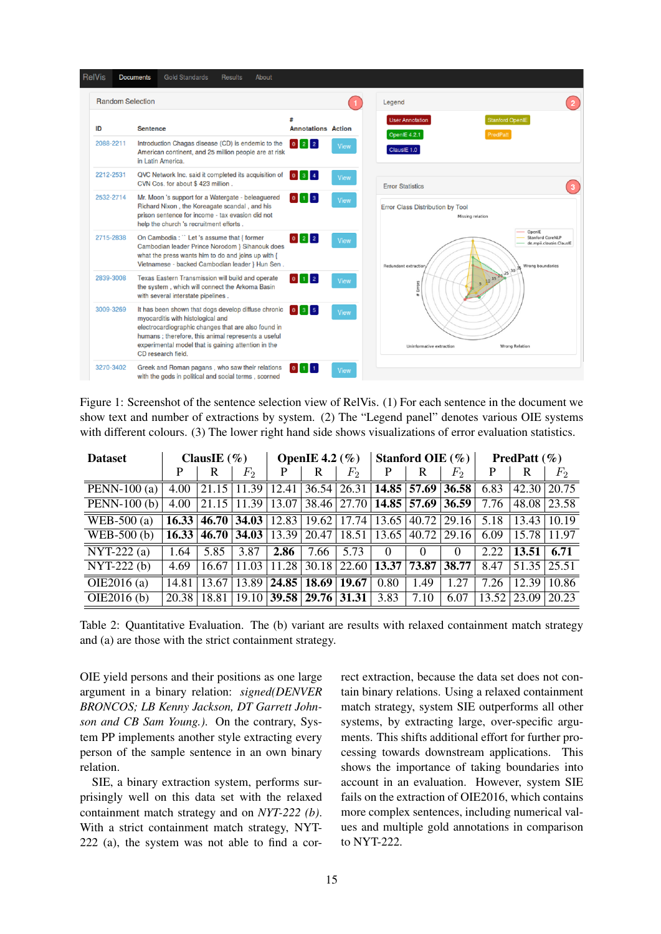

Figure 1: Screenshot of the sentence selection view of RelVis. (1) For each sentence in the document we show text and number of extractions by system. (2) The "Legend panel" denotes various OIE systems with different colours. (3) The lower right hand side shows visualizations of error evaluation statistics.

| <b>Dataset</b> | ClausIE $(\% )$ |       |       | OpenIE 4.2 $(\% )$ |                 |                         |                                       | Stanford OIE $(\% )$ |                 | <b>PredPatt</b> $(\%)$ |       |                |  |
|----------------|-----------------|-------|-------|--------------------|-----------------|-------------------------|---------------------------------------|----------------------|-----------------|------------------------|-------|----------------|--|
|                | P               | R     | $F_2$ | P                  | R               | $F_2$                   | P                                     | R                    | $F_2$           | P                      | R     | F <sub>2</sub> |  |
| PENN-100 $(a)$ | 4.00            | 21.15 | 11.39 | 12.41              |                 | $36.54 \mid 26.31 \mid$ |                                       | $14.85$ 57.69        | 36.58           | 6.83                   | 42.30 | 20.75          |  |
| PENN-100 $(b)$ | 4.00            | 21.15 | 11.39 | 13.07              |                 |                         | 38.46   27.70   14.85   57.69   36.59 |                      |                 | 7.76                   | 48.08 | 23.58          |  |
| $WEB-500(a)$   | 16.33           | 46.70 | 34.03 |                    | $12.83$   19.62 |                         | $17.74$   13.65   40.72   29.16       |                      |                 | 5.18                   | 13.43 | 10.19          |  |
| WEB-500 (b)    | 16.33           | 46.70 | 34.03 | 13.39              | 20.47           | 18.51                   | 13.65                                 |                      | $40.72$   29.16 | 6.09                   | 15.78 | 11.97          |  |
| $NYT-222(a)$   | 1.64            | 5.85  | 3.87  | 2.86               | 7.66            | 5.73                    | $\Omega$                              | $\Omega$             | $\Omega$        | 2.22                   | 13.51 | 6.71           |  |
| $NYT-222(b)$   | 4.69            | 16.67 | 11.03 | 11.28              | 30.18           | 22.60                   | 13.37                                 | 73.87                | 38.77           | 8.47                   | 51.35 | 25.51          |  |
| OIE2016 $(a)$  | 14.81           | 13.67 | 13.89 | 24.85              | 18.69           | 19.67                   | 0.80                                  | 1.49                 | 1.27            | 7.26                   | 12.39 | 10.86          |  |
| OIE2016(b)     | 20.38           | 18.81 | 19.10 |                    | $39.58$   29.76 | 31.31                   | 3.83                                  | 7.10                 | 6.07            | 13.52                  | 23.09 | 20.23          |  |

Table 2: Quantitative Evaluation. The (b) variant are results with relaxed containment match strategy and (a) are those with the strict containment strategy.

OIE yield persons and their positions as one large argument in a binary relation: *signed(DENVER BRONCOS; LB Kenny Jackson, DT Garrett Johnson and CB Sam Young.)*. On the contrary, System PP implements another style extracting every person of the sample sentence in an own binary relation.

SIE, a binary extraction system, performs surprisingly well on this data set with the relaxed containment match strategy and on *NYT-222 (b)*. With a strict containment match strategy, NYT-222 (a), the system was not able to find a correct extraction, because the data set does not contain binary relations. Using a relaxed containment match strategy, system SIE outperforms all other systems, by extracting large, over-specific arguments. This shifts additional effort for further processing towards downstream applications. This shows the importance of taking boundaries into account in an evaluation. However, system SIE fails on the extraction of OIE2016, which contains more complex sentences, including numerical values and multiple gold annotations in comparison to NYT-222.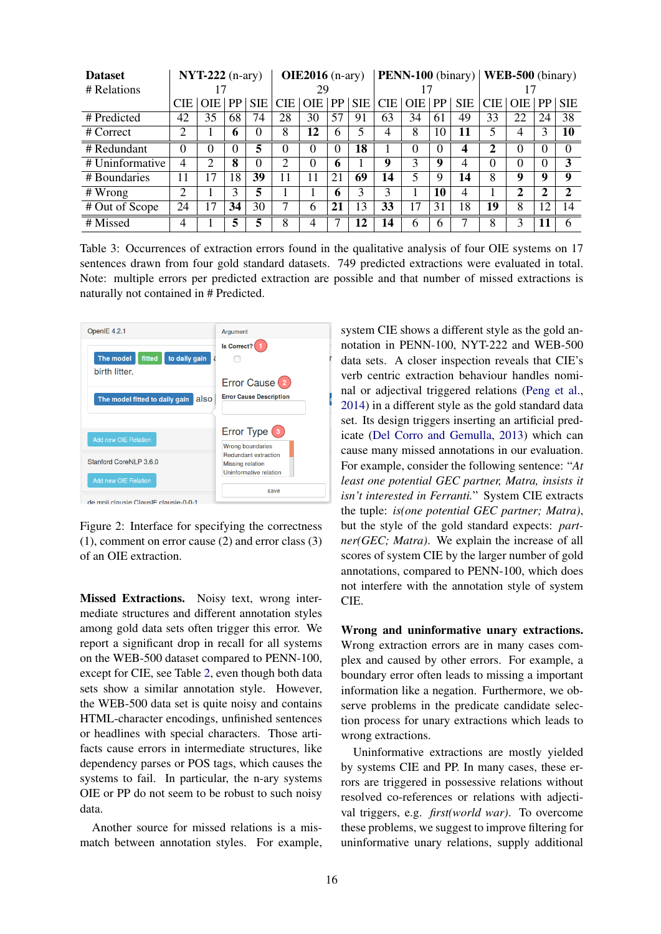| <b>Dataset</b>                | $NYT-222$ (n-ary) |                |           | $OIE2016$ (n-ary) |            |            | <b>PENN-100</b> (binary) |            |            |     | WEB-500 (binary) |            |                         |            |    |                |
|-------------------------------|-------------------|----------------|-----------|-------------------|------------|------------|--------------------------|------------|------------|-----|------------------|------------|-------------------------|------------|----|----------------|
| # Relations                   |                   |                |           | 29                |            |            |                          |            |            |     |                  |            |                         |            |    |                |
|                               | <b>CIE</b>        | OIE.           | <b>PP</b> | <b>SIE</b>        | <b>CIE</b> | <b>OIE</b> | PP                       | <b>SIE</b> | <b>CIE</b> | OIE | PP               | <b>SIE</b> | <b>CIE</b>              | <b>OIE</b> | PP | <b>SIE</b>     |
| # Predicted                   | 42                | 35             | 68        | 74                | 28         | 30         | 57                       | 91         | 63         | 34  | 61               | 49         | 33                      | 22         | 24 | 38             |
| # Correct                     | 2                 |                | 6         | 0                 | 8          | 12         | 6                        | 5          | 4          | 8   | 10               | 11         | 5                       | 4          | 3  | 10             |
| # Redundant                   | 0                 | 0              | 0         | 5                 | $\theta$   | $\theta$   | $\theta$                 | 18         |            |     | $\Omega$         | 4          | $\overline{\mathbf{2}}$ | 0          | 0  |                |
| # Uninformative               | 4                 | $\mathfrak{D}$ | 8         | $\theta$          | 2          | 0          | 6                        |            | 9          | 3   | 9                | 4          | $\Omega$                | $\Omega$   | 0  | 3              |
| # Boundaries                  | 11                | 17             | 18        | 39                | 11         | 11         | 21                       | 69         | 14         | 5   | Q                | 14         | 8                       | 9          | 9  | 9              |
| $#$ Wrong                     | າ                 |                | 3         | 5                 |            |            | 6                        | 3          | 3          |     | 10               | 4          |                         | 2          | າ  | $\mathfrak{D}$ |
| # Out of Scope                | 24                | 17             | 34        | 30                |            | 6          | 21                       | 13         | 33         | 17  | 31               | 18         | 19                      | 8          | 12 | 14             |
| $\overline{\text{\#}}$ Missed | 4                 |                | 5         | 5                 | 8          | 4          |                          | 12         | 14         | 6   | 6                |            | 8                       | 3          |    | 6              |

Table 3: Occurrences of extraction errors found in the qualitative analysis of four OIE systems on 17 sentences drawn from four gold standard datasets. 749 predicted extractions were evaluated in total. Note: multiple errors per predicted extraction are possible and that number of missed extractions is naturally not contained in # Predicted.



Figure 2: Interface for specifying the correctness (1), comment on error cause (2) and error class (3) of an OIE extraction.

Missed Extractions. Noisy text, wrong intermediate structures and different annotation styles among gold data sets often trigger this error. We report a significant drop in recall for all systems on the WEB-500 dataset compared to PENN-100, except for CIE, see Table 2, even though both data sets show a similar annotation style. However, the WEB-500 data set is quite noisy and contains HTML-character encodings, unfinished sentences or headlines with special characters. Those artifacts cause errors in intermediate structures, like dependency parses or POS tags, which causes the systems to fail. In particular, the n-ary systems OIE or PP do not seem to be robust to such noisy data.

Another source for missed relations is a mismatch between annotation styles. For example,

system CIE shows a different style as the gold annotation in PENN-100, NYT-222 and WEB-500 data sets. A closer inspection reveals that CIE's verb centric extraction behaviour handles nominal or adjectival triggered relations (Peng et al., 2014) in a different style as the gold standard data set. Its design triggers inserting an artificial predicate (Del Corro and Gemulla, 2013) which can cause many missed annotations in our evaluation. For example, consider the following sentence: "*At least one potential GEC partner, Matra, insists it isn't interested in Ferranti.*" System CIE extracts the tuple: *is(one potential GEC partner; Matra)*, but the style of the gold standard expects: *partner(GEC; Matra)*. We explain the increase of all scores of system CIE by the larger number of gold annotations, compared to PENN-100, which does not interfere with the annotation style of system CIE.

Wrong and uninformative unary extractions. Wrong extraction errors are in many cases complex and caused by other errors. For example, a boundary error often leads to missing a important information like a negation. Furthermore, we observe problems in the predicate candidate selection process for unary extractions which leads to wrong extractions.

Uninformative extractions are mostly yielded by systems CIE and PP. In many cases, these errors are triggered in possessive relations without resolved co-references or relations with adjectival triggers, e.g. *first(world war)*. To overcome these problems, we suggest to improve filtering for uninformative unary relations, supply additional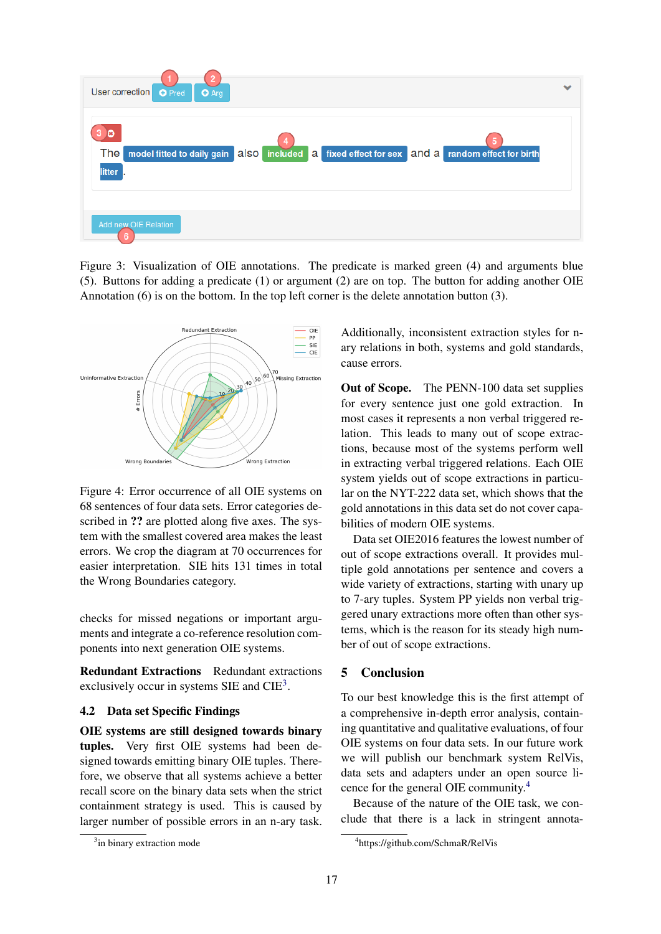

Figure 3: Visualization of OIE annotations. The predicate is marked green (4) and arguments blue (5). Buttons for adding a predicate (1) or argument (2) are on top. The button for adding another OIE Annotation (6) is on the bottom. In the top left corner is the delete annotation button (3).



Figure 4: Error occurrence of all OIE systems on 68 sentences of four data sets. Error categories described in ?? are plotted along five axes. The system with the smallest covered area makes the least errors. We crop the diagram at 70 occurrences for easier interpretation. SIE hits 131 times in total the Wrong Boundaries category.

checks for missed negations or important arguments and integrate a co-reference resolution components into next generation OIE systems.

Redundant Extractions Redundant extractions exclusively occur in systems SIE and  $CIE^3$ .

### 4.2 Data set Specific Findings

OIE systems are still designed towards binary tuples. Very first OIE systems had been designed towards emitting binary OIE tuples. Therefore, we observe that all systems achieve a better recall score on the binary data sets when the strict containment strategy is used. This is caused by larger number of possible errors in an n-ary task. Additionally, inconsistent extraction styles for nary relations in both, systems and gold standards, cause errors.

Out of Scope. The PENN-100 data set supplies for every sentence just one gold extraction. In most cases it represents a non verbal triggered relation. This leads to many out of scope extractions, because most of the systems perform well in extracting verbal triggered relations. Each OIE system yields out of scope extractions in particular on the NYT-222 data set, which shows that the gold annotations in this data set do not cover capabilities of modern OIE systems.

Data set OIE2016 features the lowest number of out of scope extractions overall. It provides multiple gold annotations per sentence and covers a wide variety of extractions, starting with unary up to 7-ary tuples. System PP yields non verbal triggered unary extractions more often than other systems, which is the reason for its steady high number of out of scope extractions.

# 5 Conclusion

To our best knowledge this is the first attempt of a comprehensive in-depth error analysis, containing quantitative and qualitative evaluations, of four OIE systems on four data sets. In our future work we will publish our benchmark system RelVis, data sets and adapters under an open source licence for the general OIE community.<sup>4</sup>

Because of the nature of the OIE task, we conclude that there is a lack in stringent annota-

<sup>&</sup>lt;sup>3</sup>in binary extraction mode

<sup>4</sup> https://github.com/SchmaR/RelVis